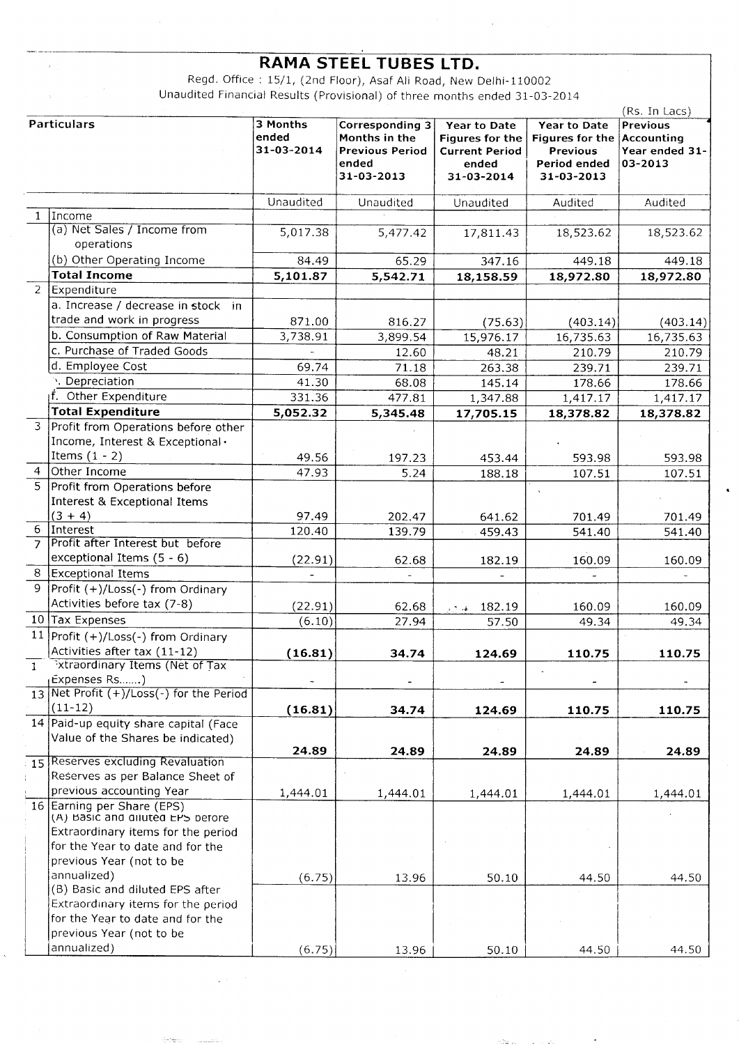## RAMA STEEL TUBES LTD.

 $\bar{z}$ 

Regd. Office: 15/1, (2nd Floor), Asaf Ali Road, New Delhi-110002<br>Unaudited Financial Results (Provisional) of three months ended 31-03-2014

| <b>Particulars</b>  |                                                                 | 3 Months<br>ended<br>31-03-2014 | Corresponding 3<br>Months in the<br><b>Previous Period</b><br>ended<br>31-03-2013 | Year to Date<br>Figures for the<br><b>Current Period</b><br>ended<br>31-03-2014 | Year to Date<br>Figures for the Accounting<br><b>Previous</b><br>Period ended<br>31-03-2013 | Previous<br>Year ended 31-<br>03-2013 |
|---------------------|-----------------------------------------------------------------|---------------------------------|-----------------------------------------------------------------------------------|---------------------------------------------------------------------------------|---------------------------------------------------------------------------------------------|---------------------------------------|
|                     |                                                                 | Unaudited                       | Unaudited                                                                         | Unaudited                                                                       | Audited                                                                                     | Audited                               |
| 1                   | Income                                                          |                                 |                                                                                   |                                                                                 |                                                                                             |                                       |
|                     | (a) Net Sales / Income from<br>operations                       | 5,017.38                        | 5,477.42                                                                          | 17,811.43                                                                       | 18,523.62                                                                                   | 18,523.62                             |
|                     | (b) Other Operating Income                                      | 84.49                           | 65.29                                                                             | 347.16                                                                          | 449.18                                                                                      | 449.18                                |
|                     | <b>Total Income</b>                                             | 5,101.87                        | 5,542.71                                                                          | 18,158.59                                                                       | 18,972.80                                                                                   | 18,972.80                             |
| 2                   | Expenditure                                                     |                                 |                                                                                   |                                                                                 |                                                                                             |                                       |
|                     | a. Increase / decrease in stock in                              |                                 |                                                                                   |                                                                                 |                                                                                             |                                       |
|                     | trade and work in progress                                      | 871.00                          | 816.27                                                                            | (75.63)                                                                         | (403.14)                                                                                    | (403.14)                              |
|                     | b. Consumption of Raw Material                                  | 3,738.91                        | 3,899.54                                                                          | 15,976.17                                                                       | 16,735.63                                                                                   | 16,735.63                             |
|                     | c. Purchase of Traded Goods                                     | $\overline{\phantom{a}}$        | 12.60                                                                             | 48.21                                                                           | 210.79                                                                                      | 210.79                                |
|                     | d. Employee Cost                                                | 69.74                           | 71.18                                                                             | 263.38                                                                          | 239.71                                                                                      | 239.71                                |
|                     | v. Depreciation                                                 | 41.30                           | 68.08                                                                             | 145.14                                                                          | 178.66                                                                                      | 178.66                                |
|                     | if. Other Expenditure                                           | 331.36                          | 477.81                                                                            | 1,347.88                                                                        | 1,417.17                                                                                    | 1,417.17                              |
|                     | <b>Total Expenditure</b>                                        | 5,052.32                        | 5,345.48                                                                          | 17,705.15                                                                       | 18,378.82                                                                                   | 18,378.82                             |
| 3                   | Profit from Operations before other                             |                                 |                                                                                   |                                                                                 |                                                                                             |                                       |
|                     | Income, Interest & Exceptional .                                |                                 |                                                                                   |                                                                                 |                                                                                             |                                       |
|                     | Items $(1 - 2)$                                                 | 49.56                           | 197.23                                                                            | 453.44                                                                          | 593.98                                                                                      | 593.98                                |
| $\overline{4}$      | Other Income                                                    | 47.93                           | 5.24                                                                              | 188.18                                                                          | 107.51                                                                                      | 107.51                                |
| 5.                  | Profit from Operations before                                   |                                 |                                                                                   |                                                                                 |                                                                                             |                                       |
|                     | <b>Interest &amp; Exceptional Items</b>                         |                                 |                                                                                   |                                                                                 |                                                                                             |                                       |
|                     | $(3 + 4)$                                                       | 97.49                           | 202.47                                                                            | 641.62                                                                          | 701.49                                                                                      | 701.49                                |
|                     | 6 Interest                                                      | 120.40                          | 139.79                                                                            | 459.43                                                                          | 541.40                                                                                      | 541.40                                |
| $\overline{7}$      | Profit after Interest but before                                |                                 |                                                                                   |                                                                                 |                                                                                             |                                       |
|                     | exceptional Items (5 - 6)                                       | (22.91)                         | 62.68                                                                             | 182.19                                                                          | 160.09                                                                                      | 160.09                                |
| 8<br>$\overline{9}$ | <b>Exceptional Items</b>                                        |                                 | $\ddot{\phantom{1}}$                                                              | $\blacksquare$                                                                  |                                                                                             |                                       |
|                     | Profit (+)/Loss(-) from Ordinary<br>Activities before tax (7-8) |                                 |                                                                                   |                                                                                 |                                                                                             |                                       |
|                     |                                                                 | (22.91)                         | 62.68                                                                             | 182.19<br>a thuật                                                               | 160.09                                                                                      | 160.09                                |
|                     | 10 Tax Expenses                                                 | (6.10)                          | 27.94                                                                             | 57.50                                                                           | 49.34                                                                                       | 49.34                                 |
|                     | 11   Profit $(+)/$ Loss $(-)$ from Ordinary                     |                                 |                                                                                   |                                                                                 |                                                                                             |                                       |
| $\overline{1}$      | Activities after tax (11-12)<br>Extraordinary Items (Net of Tax | (16.81)                         | 34.74                                                                             | 124.69                                                                          | 110.75                                                                                      | 110.75                                |
|                     | Expenses Rs)                                                    |                                 |                                                                                   |                                                                                 |                                                                                             |                                       |
|                     | 13 Net Profit (+)/Loss(-) for the Period                        |                                 |                                                                                   |                                                                                 |                                                                                             |                                       |
|                     | $(11-12)$                                                       | (16.81)                         | 34.74                                                                             | 124.69                                                                          | 110.75                                                                                      | 110.75                                |
|                     | 14 Paid-up equity share capital (Face                           |                                 |                                                                                   |                                                                                 |                                                                                             |                                       |
|                     | Value of the Shares be indicated)                               |                                 |                                                                                   |                                                                                 |                                                                                             |                                       |
|                     |                                                                 | 24.89                           | 24.89                                                                             | 24.89                                                                           | 24.89                                                                                       | 24.89                                 |
|                     | 15 Reserves excluding Revaluation                               |                                 |                                                                                   |                                                                                 |                                                                                             |                                       |
|                     | Reserves as per Balance Sheet of<br>previous accounting Year    |                                 |                                                                                   |                                                                                 |                                                                                             |                                       |
|                     | 16 Earning per Share (EPS)                                      | 1,444.01                        | 1,444.01                                                                          | 1,444.01                                                                        | 1,444.01                                                                                    | 1,444.01                              |
|                     | (A) Basic and diluted EPS before                                |                                 |                                                                                   |                                                                                 |                                                                                             |                                       |
|                     | Extraordinary items for the period                              |                                 |                                                                                   |                                                                                 |                                                                                             |                                       |
|                     | for the Year to date and for the                                |                                 |                                                                                   |                                                                                 |                                                                                             |                                       |
|                     | previous Year (not to be                                        |                                 |                                                                                   |                                                                                 |                                                                                             |                                       |
|                     | annualized)                                                     | (6.75)                          | 13.96                                                                             | 50.10                                                                           | 44.50                                                                                       | 44.50                                 |
|                     | (B) Basic and diluted EPS after                                 |                                 |                                                                                   |                                                                                 |                                                                                             |                                       |
|                     | Extraordinary items for the period                              |                                 |                                                                                   |                                                                                 |                                                                                             |                                       |
|                     | for the Year to date and for the                                |                                 |                                                                                   |                                                                                 |                                                                                             |                                       |
|                     | previous Year (not to be                                        |                                 |                                                                                   |                                                                                 |                                                                                             |                                       |
|                     | annualized)                                                     | (6.75)                          | 13.96                                                                             | 50.10                                                                           | 44.50                                                                                       | 44.50                                 |

bet